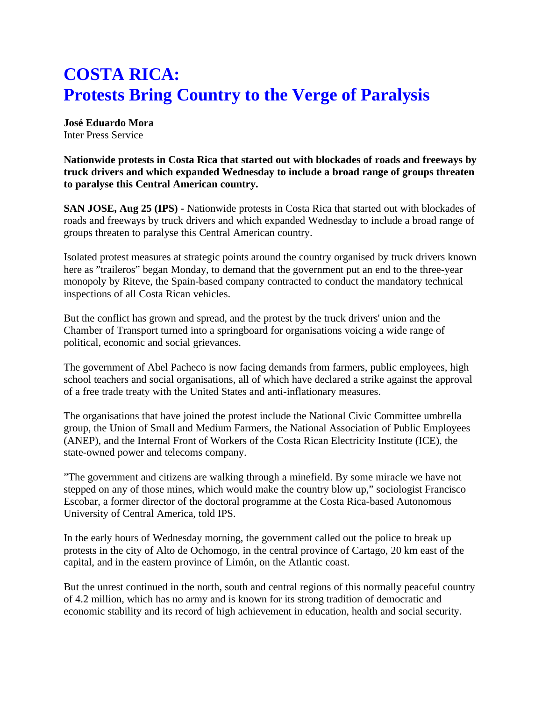## **COSTA RICA: Protests Bring Country to the Verge of Paralysis**

**José Eduardo Mora** Inter Press Service

**Nationwide protests in Costa Rica that started out with blockades of roads and freeways by truck drivers and which expanded Wednesday to include a broad range of groups threaten to paralyse this Central American country.**

**SAN JOSE, Aug 25 (IPS) -** Nationwide protests in Costa Rica that started out with blockades of roads and freeways by truck drivers and which expanded Wednesday to include a broad range of groups threaten to paralyse this Central American country.

Isolated protest measures at strategic points around the country organised by truck drivers known here as "traileros" began Monday, to demand that the government put an end to the three-year monopoly by Riteve, the Spain-based company contracted to conduct the mandatory technical inspections of all Costa Rican vehicles.

But the conflict has grown and spread, and the protest by the truck drivers' union and the Chamber of Transport turned into a springboard for organisations voicing a wide range of political, economic and social grievances.

The government of Abel Pacheco is now facing demands from farmers, public employees, high school teachers and social organisations, all of which have declared a strike against the approval of a free trade treaty with the United States and anti-inflationary measures.

The organisations that have joined the protest include the National Civic Committee umbrella group, the Union of Small and Medium Farmers, the National Association of Public Employees (ANEP), and the Internal Front of Workers of the Costa Rican Electricity Institute (ICE), the state-owned power and telecoms company.

"The government and citizens are walking through a minefield. By some miracle we have not stepped on any of those mines, which would make the country blow up," sociologist Francisco Escobar, a former director of the doctoral programme at the Costa Rica-based Autonomous University of Central America, told IPS.

In the early hours of Wednesday morning, the government called out the police to break up protests in the city of Alto de Ochomogo, in the central province of Cartago, 20 km east of the capital, and in the eastern province of Limón, on the Atlantic coast.

But the unrest continued in the north, south and central regions of this normally peaceful country of 4.2 million, which has no army and is known for its strong tradition of democratic and economic stability and its record of high achievement in education, health and social security.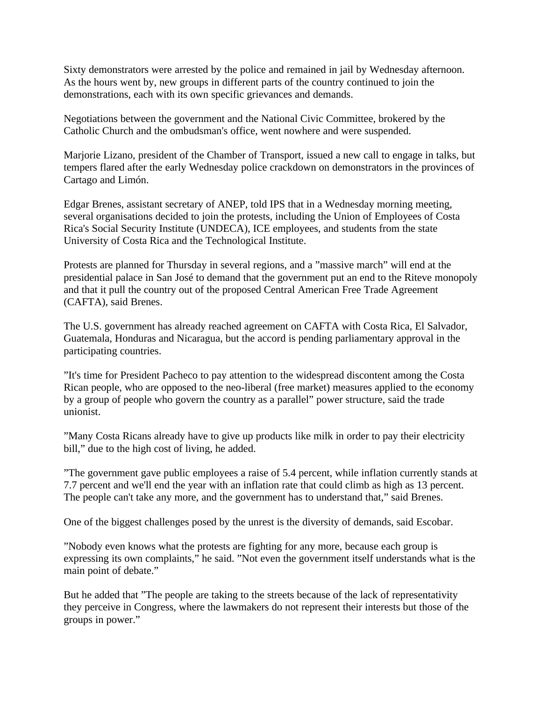Sixty demonstrators were arrested by the police and remained in jail by Wednesday afternoon. As the hours went by, new groups in different parts of the country continued to join the demonstrations, each with its own specific grievances and demands.

Negotiations between the government and the National Civic Committee, brokered by the Catholic Church and the ombudsman's office, went nowhere and were suspended.

Marjorie Lizano, president of the Chamber of Transport, issued a new call to engage in talks, but tempers flared after the early Wednesday police crackdown on demonstrators in the provinces of Cartago and Limón.

Edgar Brenes, assistant secretary of ANEP, told IPS that in a Wednesday morning meeting, several organisations decided to join the protests, including the Union of Employees of Costa Rica's Social Security Institute (UNDECA), ICE employees, and students from the state University of Costa Rica and the Technological Institute.

Protests are planned for Thursday in several regions, and a "massive march" will end at the presidential palace in San José to demand that the government put an end to the Riteve monopoly and that it pull the country out of the proposed Central American Free Trade Agreement (CAFTA), said Brenes.

The U.S. government has already reached agreement on CAFTA with Costa Rica, El Salvador, Guatemala, Honduras and Nicaragua, but the accord is pending parliamentary approval in the participating countries.

"It's time for President Pacheco to pay attention to the widespread discontent among the Costa Rican people, who are opposed to the neo-liberal (free market) measures applied to the economy by a group of people who govern the country as a parallel" power structure, said the trade unionist.

"Many Costa Ricans already have to give up products like milk in order to pay their electricity bill," due to the high cost of living, he added.

"The government gave public employees a raise of 5.4 percent, while inflation currently stands at 7.7 percent and we'll end the year with an inflation rate that could climb as high as 13 percent. The people can't take any more, and the government has to understand that," said Brenes.

One of the biggest challenges posed by the unrest is the diversity of demands, said Escobar.

"Nobody even knows what the protests are fighting for any more, because each group is expressing its own complaints," he said. "Not even the government itself understands what is the main point of debate."

But he added that "The people are taking to the streets because of the lack of representativity they perceive in Congress, where the lawmakers do not represent their interests but those of the groups in power."